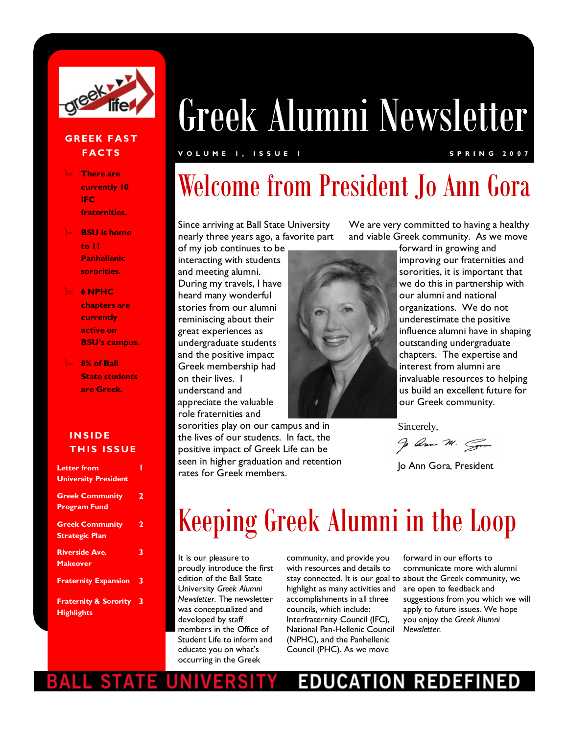

#### **GREEK FAST F ACTS**

- **There are currently 10 IFC fraternities.**
- **BSU is home to 11 Panhellenic sororities.**
- **6 NPHC chapters are currently active on BSU's campus.**
- **8% of Ball State students are Greek.**

#### **I N S I D E THIS ISSUE**

| Letter from<br><b>University President</b>            |   |
|-------------------------------------------------------|---|
| <b>Greek Community</b><br><b>Program Fund</b>         | 2 |
| <b>Greek Community</b><br><b>Strategic Plan</b>       | 2 |
| <b>Riverside Ave.</b><br><b>Makeover</b>              | 3 |
| <b>Fraternity Expansion</b>                           | 3 |
| <b>Fraternity &amp; Sorority</b><br><b>Highlights</b> | 3 |

# Greek Alumni Newsletter

#### **V O L U M E 1 , I S S U E 1 S P R I N G 2 0 0 7**

## Welcome from President Jo Ann Gora

Since arriving at Ball State University nearly three years ago, a favorite part

of my job continues to be interacting with students and meeting alumni. During my travels, I have heard many wonderful stories from our alumni reminiscing about their great experiences as undergraduate students and the positive impact Greek membership had on their lives. I understand and appreciate the valuable role fraternities and

sororities play on our campus and in the lives of our students. In fact, the positive impact of Greek Life can be seen in higher graduation and retention rates for Greek members.

We are very committed to having a healthy and viable Greek community. As we move



forward in growing and improving our fraternities and sororities, it is important that we do this in partnership with our alumni and national organizations. We do not underestimate the positive influence alumni have in shaping outstanding undergraduate chapters. The expertise and interest from alumni are invaluable resources to helping us build an excellent future for our Greek community.

Sincerely,

go Ann M. Gra

Jo Ann Gora, President

## Keeping Greek Alumni in the Loop

It is our pleasure to proudly introduce the first edition of the Ball State University *Greek Alumni Newsletter*. The newsletter was conceptualized and developed by staff members in the Office of Student Life to inform and educate you on what's occurring in the Greek

community, and provide you with resources and details to highlight as many activities and are open to feedback and accomplishments in all three councils, which include: Interfraternity Council (IFC), National Pan-Hellenic Council (NPHC), and the Panhellenic Council (PHC). As we move

stay connected. It is our goal to about the Greek community, we forward in our efforts to communicate more with alumni suggestions from you which we will apply to future issues. We hope you enjoy the *Greek Alumni Newsletter.* 

### **EDUCATION REDEF**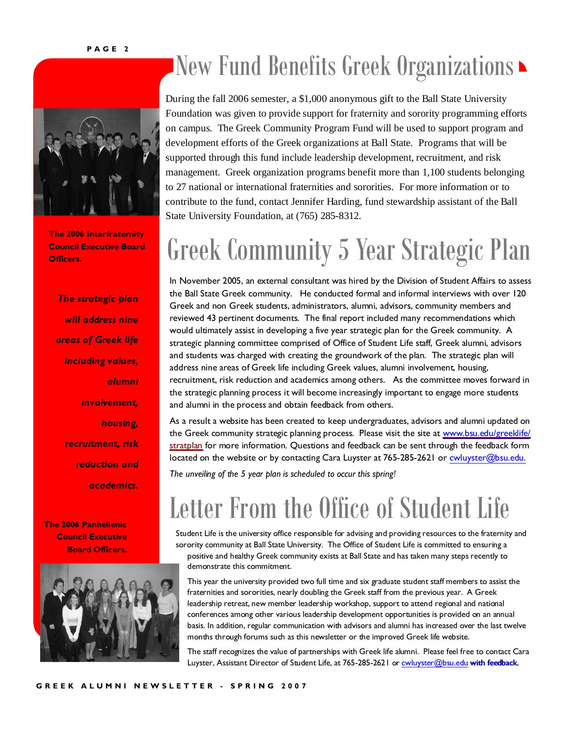

**The 2006 Interfraternity Council Executive Board** 

*The strategic plan will address nine areas of Greek life including values, alumni involvement, housing, recruitment, risk reduction and academics.* 

**The 2006 Panhellenic Council Executive Board Officers.** 



## New Fund Benefits Greek Organizations

During the fall 2006 semester, a \$1,000 anonymous gift to the Ball State University Foundation was given to provide support for fraternity and sorority programming efforts on campus. The Greek Community Program Fund will be used to support program and development efforts of the Greek organizations at Ball State. Programs that will be supported through this fund include leadership development, recruitment, and risk management. Greek organization programs benefit more than 1,100 students belonging to 27 national or international fraternities and sororities. For more information or to contribute to the fund, contact Jennifer Harding, fund stewardship assistant of the Ball State University Foundation, at (765) 285-8312.

## **Council Executive Board Greek Community 5 Year Strategic Plan**

In November 2005, an external consultant was hired by the Division of Student Affairs to assess the Ball State Greek community. He conducted formal and informal interviews with over 120 Greek and non Greek students, administrators, alumni, advisors, community members and reviewed 43 pertinent documents. The final report included many recommendations which would ultimately assist in developing a five year strategic plan for the Greek community. A strategic planning committee comprised of Office of Student Life staff, Greek alumni, advisors and students was charged with creating the groundwork of the plan. The strategic plan will address nine areas of Greek life including Greek values, alumni involvement, housing, recruitment, risk reduction and academics among others. As the committee moves forward in the strategic planning process it will become increasingly important to engage more students and alumni in the process and obtain feedback from others.

As a result a website has been created to keep undergraduates, advisors and alumni updated on the Greek community strategic planning process. Please visit the site at <www.bsu.edu/greeklife/> stratplan for more information. Questions and feedback can be sent through the feedback form located on the website or by contacting Cara Luyster at 765-285-2621 or [cwluyster@bsu.edu.](mailto:cwluyster@bsu.edu.)

*The unveiling of the 5 year plan is scheduled to occur this spring!* 

## Letter From the Office of Student Life

Student Life is the university office responsible for advising and providing resources to the fraternity and sorority community at Ball State University. The Office of Student Life is committed to ensuring a positive and healthy Greek community exists at Ball State and has taken many steps recently to demonstrate this commitment.

This year the university provided two full time and six graduate student staff members to assist the fraternities and sororities, nearly doubling the Greek staff from the previous year. A Greek leadership retreat, new member leadership workshop, support to attend regional and national conferences among other various leadership development opportunities is provided on an annual basis. In addition, regular communication with advisors and alumni has increased over the last twelve months through forums such as this newsletter or the improved Greek life website.

The staff recognizes the value of partnerships with Greek life alumni. Please feel free to contact Cara Luyster, Assistant Director of Student Life, at 765-285-2621 or [cwluyster@bsu.edu](mailto:cwluyster@bsu.edu) with feedback.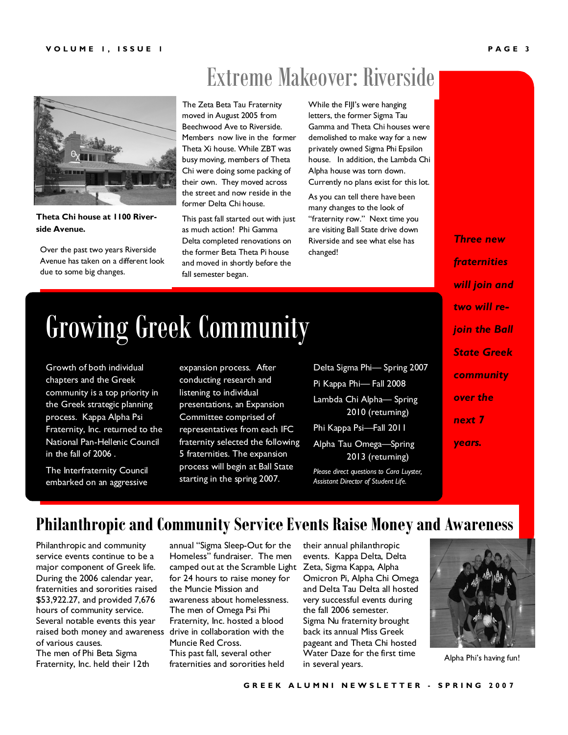## Extreme Makeover: Riverside



**Theta Chi house at 1100 Riverside Avenue.**

Over the past two years Riverside Avenue has taken on a different look due to some big changes.

 The Zeta Beta Tau Fraternity moved in August 2005 from Beechwood Ave to Riverside. Members now live in the former Theta Xi house. While ZBT was busy moving, members of Theta Chi were doing some packing of their own. They moved across the street and now reside in the former Delta Chi house.

This past fall started out with just as much action! Phi Gamma Delta completed renovations on the former Beta Theta Pi house and moved in shortly before the fall semester began.

While the FIJI's were hanging letters, the former Sigma Tau Gamma and Theta Chi houses were demolished to make way for a new privately owned Sigma Phi Epsilon house. In addition, the Lambda Chi Alpha house was torn down. Currently no plans exist for this lot.

As you can tell there have been many changes to the look of "fraternity row." Next time you are visiting Ball State drive down Riverside and see what else has changed!

*Three new fraternities will join and two will rejoin the Ball State Greek community over the next 7 years.* 

## Growing Greek Community

Growth of both individual chapters and the Greek community is a top priority in the Greek strategic planning process. Kappa Alpha Psi Fraternity, Inc. returned to the National Pan-Hellenic Council in the fall of 2006 .

The Interfraternity Council embarked on an aggressive

expansion process. After conducting research and listening to individual presentations, an Expansion Committee comprised of representatives from each IFC fraternity selected the following 5 fraternities. The expansion process will begin at Ball State starting in the spring 2007.

Delta Sigma Phi— Spring 2007 Pi Kappa Phi— Fall 2008 Lambda Chi Alpha— Spring 2010 (returning) Phi Kappa Psi—Fall 2011

Alpha Tau Omega—Spring 2013 (returning)

*Please direct questions to Cara Luyster, Assistant Director of Student Life.*

#### **Philanthropic and Community Service Events Raise Money and Awareness**

raised both money and awareness drive in collaboration with the Philanthropic and community service events continue to be a major component of Greek life. During the 2006 calendar year, fraternities and sororities raised \$53,922.27, and provided 7,676 hours of community service. Several notable events this year of various causes. The men of Phi Beta Sigma Fraternity, Inc. held their 12th

annual "Sigma Sleep-Out for the Homeless" fundraiser. The men camped out at the Scramble Light for 24 hours to raise money for the Muncie Mission and awareness about homelessness. The men of Omega Psi Phi Fraternity, Inc. hosted a blood Muncie Red Cross. This past fall, several other fraternities and sororities held

their annual philanthropic events. Kappa Delta, Delta Zeta, Sigma Kappa, Alpha Omicron Pi, Alpha Chi Omega and Delta Tau Delta all hosted very successful events during the fall 2006 semester. Sigma Nu fraternity brought back its annual Miss Greek pageant and Theta Chi hosted Water Daze for the first time in several years.



Alpha Phi's having fun!